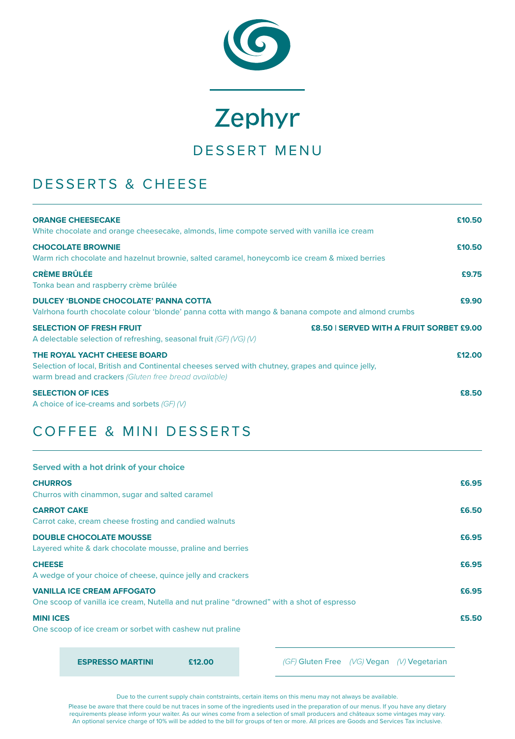

Zephyr

DESSERT MENU

# DESSERTS & CHEESE

| <b>ORANGE CHEESECAKE</b><br>White chocolate and orange cheesecake, almonds, lime compote served with vanilla ice cream<br><b>CHOCOLATE BROWNIE</b><br>Warm rich chocolate and hazelnut brownie, salted caramel, honeycomb ice cream & mixed berries<br><b>CRÈME BRÛLÉE</b><br>Tonka bean and raspberry crème brûlée<br><b>DULCEY 'BLONDE CHOCOLATE' PANNA COTTA</b><br>Valrhona fourth chocolate colour 'blonde' panna cotta with mango & banana compote and almond crumbs<br><b>SELECTION OF FRESH FRUIT</b><br>A delectable selection of refreshing, seasonal fruit $(GF)/(VG)/V$<br>THE ROYAL YACHT CHEESE BOARD<br>Selection of local, British and Continental cheeses served with chutney, grapes and quince jelly,<br>warm bread and crackers (Gluten free bread available)<br><b>SELECTION OF ICES</b><br>A choice of ice-creams and sorbets $(GF)/V$ |                                          |
|--------------------------------------------------------------------------------------------------------------------------------------------------------------------------------------------------------------------------------------------------------------------------------------------------------------------------------------------------------------------------------------------------------------------------------------------------------------------------------------------------------------------------------------------------------------------------------------------------------------------------------------------------------------------------------------------------------------------------------------------------------------------------------------------------------------------------------------------------------------|------------------------------------------|
|                                                                                                                                                                                                                                                                                                                                                                                                                                                                                                                                                                                                                                                                                                                                                                                                                                                              | £10.50                                   |
|                                                                                                                                                                                                                                                                                                                                                                                                                                                                                                                                                                                                                                                                                                                                                                                                                                                              | £10.50                                   |
|                                                                                                                                                                                                                                                                                                                                                                                                                                                                                                                                                                                                                                                                                                                                                                                                                                                              | £9.75                                    |
|                                                                                                                                                                                                                                                                                                                                                                                                                                                                                                                                                                                                                                                                                                                                                                                                                                                              | £9.90                                    |
|                                                                                                                                                                                                                                                                                                                                                                                                                                                                                                                                                                                                                                                                                                                                                                                                                                                              | £8.50   SERVED WITH A FRUIT SORBET £9.00 |
|                                                                                                                                                                                                                                                                                                                                                                                                                                                                                                                                                                                                                                                                                                                                                                                                                                                              | £12.00                                   |
|                                                                                                                                                                                                                                                                                                                                                                                                                                                                                                                                                                                                                                                                                                                                                                                                                                                              | £8.50                                    |

## COFFEE & MINI DESSERTS

| <b>CHURROS</b><br>Churros with cinammon, sugar and salted caramel                                                              | £6.95 |
|--------------------------------------------------------------------------------------------------------------------------------|-------|
| <b>CARROT CAKE</b><br>Carrot cake, cream cheese frosting and candied walnuts                                                   | £6.50 |
| <b>DOUBLE CHOCOLATE MOUSSE</b><br>Layered white & dark chocolate mousse, praline and berries                                   | £6.95 |
| <b>CHEESE</b><br>A wedge of your choice of cheese, quince jelly and crackers                                                   | £6.95 |
| <b>VANILLA ICE CREAM AFFOGATO</b><br>One scoop of vanilla ice cream, Nutella and nut praline "drowned" with a shot of espresso | £6.95 |
| <b>MINI ICES</b><br>One scoop of ice cream or sorbet with cashew nut praline                                                   | £5.50 |

**ESPRESSO MARTINI £12.00** *(GF)* Gluten Free *(VG)* Vegan *(V)* Vegetarian

Due to the current supply chain contstraints, certain items on this menu may not always be available.

Please be aware that there could be nut traces in some of the ingredients used in the preparation of our menus. If you have any dietary requirements please inform your waiter. As our wines come from a selection of small producers and châteaux some vintages may vary. An optional service charge of 10% will be added to the bill for groups of ten or more. All prices are Goods and Services Tax inclusive.